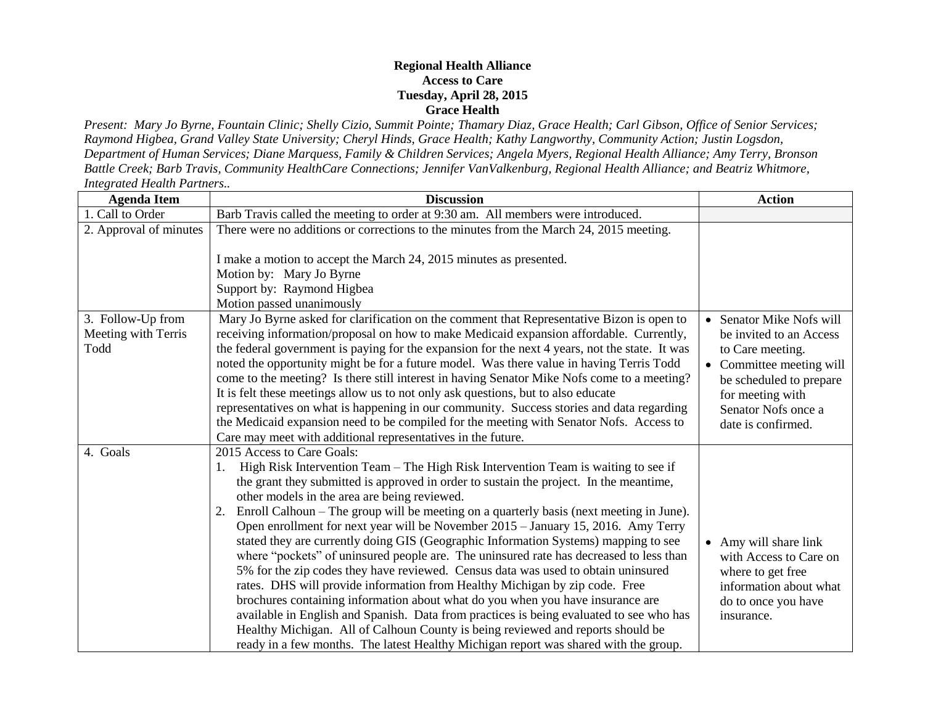## **Regional Health Alliance Access to Care Tuesday, April 28, 2015 Grace Health**

*Present: Mary Jo Byrne, Fountain Clinic; Shelly Cizio, Summit Pointe; Thamary Diaz, Grace Health; Carl Gibson, Office of Senior Services; Raymond Higbea, Grand Valley State University; Cheryl Hinds, Grace Health; Kathy Langworthy, Community Action; Justin Logsdon, Department of Human Services; Diane Marquess, Family & Children Services; Angela Myers, Regional Health Alliance; Amy Terry, Bronson Battle Creek; Barb Travis, Community HealthCare Connections; Jennifer VanValkenburg, Regional Health Alliance; and Beatriz Whitmore, Integrated Health Partners..*

| <b>Agenda Item</b>                               | <b>Discussion</b>                                                                                                                                                                                                                                                                                                                                                                                                                                                                                                                                                                                                                                                                                                                                                                                                                                                                                                                                                                                                                                                                                                                                       | <b>Action</b>                                                                                                                                                                               |
|--------------------------------------------------|---------------------------------------------------------------------------------------------------------------------------------------------------------------------------------------------------------------------------------------------------------------------------------------------------------------------------------------------------------------------------------------------------------------------------------------------------------------------------------------------------------------------------------------------------------------------------------------------------------------------------------------------------------------------------------------------------------------------------------------------------------------------------------------------------------------------------------------------------------------------------------------------------------------------------------------------------------------------------------------------------------------------------------------------------------------------------------------------------------------------------------------------------------|---------------------------------------------------------------------------------------------------------------------------------------------------------------------------------------------|
| 1. Call to Order                                 | Barb Travis called the meeting to order at 9:30 am. All members were introduced.                                                                                                                                                                                                                                                                                                                                                                                                                                                                                                                                                                                                                                                                                                                                                                                                                                                                                                                                                                                                                                                                        |                                                                                                                                                                                             |
| 2. Approval of minutes                           | There were no additions or corrections to the minutes from the March 24, 2015 meeting.<br>I make a motion to accept the March 24, 2015 minutes as presented.<br>Motion by: Mary Jo Byrne<br>Support by: Raymond Higbea<br>Motion passed unanimously                                                                                                                                                                                                                                                                                                                                                                                                                                                                                                                                                                                                                                                                                                                                                                                                                                                                                                     |                                                                                                                                                                                             |
| 3. Follow-Up from<br>Meeting with Terris<br>Todd | Mary Jo Byrne asked for clarification on the comment that Representative Bizon is open to<br>receiving information/proposal on how to make Medicaid expansion affordable. Currently,<br>the federal government is paying for the expansion for the next 4 years, not the state. It was<br>noted the opportunity might be for a future model. Was there value in having Terris Todd<br>come to the meeting? Is there still interest in having Senator Mike Nofs come to a meeting?<br>It is felt these meetings allow us to not only ask questions, but to also educate<br>representatives on what is happening in our community. Success stories and data regarding<br>the Medicaid expansion need to be compiled for the meeting with Senator Nofs. Access to<br>Care may meet with additional representatives in the future.                                                                                                                                                                                                                                                                                                                          | Senator Mike Nofs will<br>be invited to an Access<br>to Care meeting.<br>Committee meeting will<br>be scheduled to prepare<br>for meeting with<br>Senator Nofs once a<br>date is confirmed. |
| 4. Goals                                         | 2015 Access to Care Goals:<br>High Risk Intervention Team – The High Risk Intervention Team is waiting to see if<br>the grant they submitted is approved in order to sustain the project. In the meantime,<br>other models in the area are being reviewed.<br>Enroll Calhoun - The group will be meeting on a quarterly basis (next meeting in June).<br>Open enrollment for next year will be November 2015 - January 15, 2016. Amy Terry<br>stated they are currently doing GIS (Geographic Information Systems) mapping to see<br>where "pockets" of uninsured people are. The uninsured rate has decreased to less than<br>5% for the zip codes they have reviewed. Census data was used to obtain uninsured<br>rates. DHS will provide information from Healthy Michigan by zip code. Free<br>brochures containing information about what do you when you have insurance are<br>available in English and Spanish. Data from practices is being evaluated to see who has<br>Healthy Michigan. All of Calhoun County is being reviewed and reports should be<br>ready in a few months. The latest Healthy Michigan report was shared with the group. | • Amy will share link<br>with Access to Care on<br>where to get free<br>information about what<br>do to once you have<br>insurance.                                                         |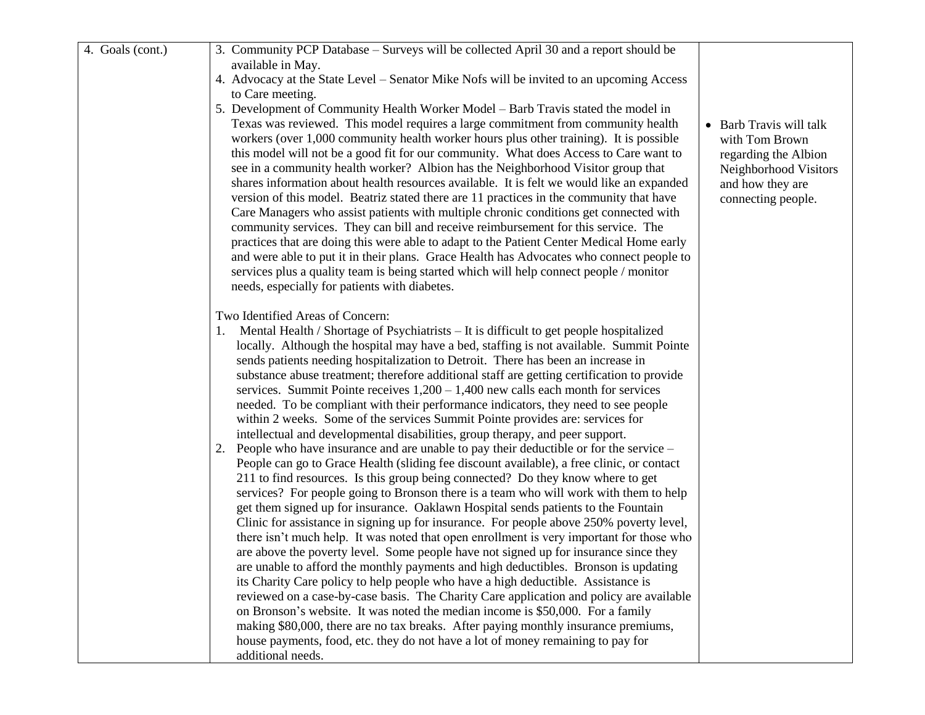| 4. Goals (cont.) | 3. Community PCP Database – Surveys will be collected April 30 and a report should be        |                         |
|------------------|----------------------------------------------------------------------------------------------|-------------------------|
|                  | available in May.                                                                            |                         |
|                  | 4. Advocacy at the State Level – Senator Mike Nofs will be invited to an upcoming Access     |                         |
|                  | to Care meeting.                                                                             |                         |
|                  | 5. Development of Community Health Worker Model – Barb Travis stated the model in            |                         |
|                  | Texas was reviewed. This model requires a large commitment from community health             | • Barb Travis will talk |
|                  | workers (over 1,000 community health worker hours plus other training). It is possible       | with Tom Brown          |
|                  | this model will not be a good fit for our community. What does Access to Care want to        | regarding the Albion    |
|                  | see in a community health worker? Albion has the Neighborhood Visitor group that             | Neighborhood Visitors   |
|                  | shares information about health resources available. It is felt we would like an expanded    | and how they are        |
|                  | version of this model. Beatriz stated there are 11 practices in the community that have      | connecting people.      |
|                  | Care Managers who assist patients with multiple chronic conditions get connected with        |                         |
|                  | community services. They can bill and receive reimbursement for this service. The            |                         |
|                  | practices that are doing this were able to adapt to the Patient Center Medical Home early    |                         |
|                  | and were able to put it in their plans. Grace Health has Advocates who connect people to     |                         |
|                  | services plus a quality team is being started which will help connect people / monitor       |                         |
|                  | needs, especially for patients with diabetes.                                                |                         |
|                  | Two Identified Areas of Concern:                                                             |                         |
|                  | Mental Health / Shortage of Psychiatrists – It is difficult to get people hospitalized<br>1. |                         |
|                  | locally. Although the hospital may have a bed, staffing is not available. Summit Pointe      |                         |
|                  | sends patients needing hospitalization to Detroit. There has been an increase in             |                         |
|                  | substance abuse treatment; therefore additional staff are getting certification to provide   |                         |
|                  | services. Summit Pointe receives $1,200 - 1,400$ new calls each month for services           |                         |
|                  | needed. To be compliant with their performance indicators, they need to see people           |                         |
|                  | within 2 weeks. Some of the services Summit Pointe provides are: services for                |                         |
|                  | intellectual and developmental disabilities, group therapy, and peer support.                |                         |
|                  | 2. People who have insurance and are unable to pay their deductible or for the service -     |                         |
|                  | People can go to Grace Health (sliding fee discount available), a free clinic, or contact    |                         |
|                  | 211 to find resources. Is this group being connected? Do they know where to get              |                         |
|                  | services? For people going to Bronson there is a team who will work with them to help        |                         |
|                  | get them signed up for insurance. Oaklawn Hospital sends patients to the Fountain            |                         |
|                  | Clinic for assistance in signing up for insurance. For people above 250% poverty level,      |                         |
|                  | there isn't much help. It was noted that open enrollment is very important for those who     |                         |
|                  | are above the poverty level. Some people have not signed up for insurance since they         |                         |
|                  | are unable to afford the monthly payments and high deductibles. Bronson is updating          |                         |
|                  | its Charity Care policy to help people who have a high deductible. Assistance is             |                         |
|                  | reviewed on a case-by-case basis. The Charity Care application and policy are available      |                         |
|                  | on Bronson's website. It was noted the median income is \$50,000. For a family               |                         |
|                  | making \$80,000, there are no tax breaks. After paying monthly insurance premiums,           |                         |
|                  | house payments, food, etc. they do not have a lot of money remaining to pay for              |                         |
|                  | additional needs.                                                                            |                         |